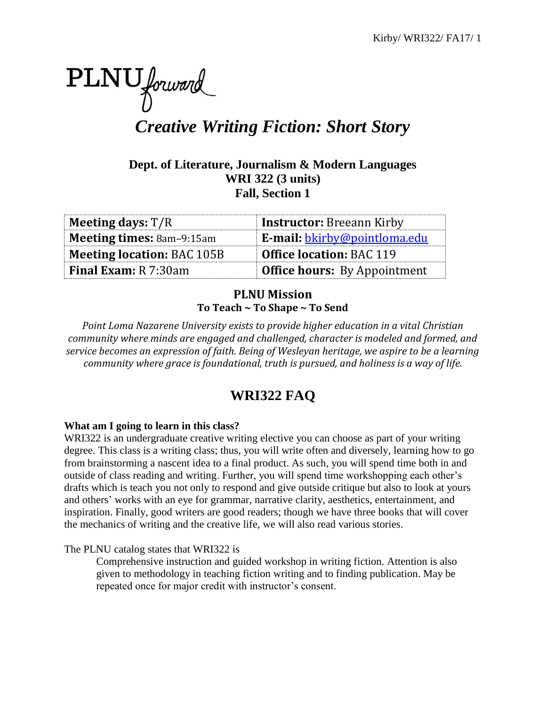

*Creative Writing Fiction: Short Story*

# **Dept. of Literature, Journalism & Modern Languages WRI 322 (3 units) Fall, Section 1**

| <b>Meeting days:</b> $T/R$        | <b>Instructor:</b> Breeann Kirby    |
|-----------------------------------|-------------------------------------|
| <b>Meeting times: 8am-9:15am</b>  | <b>E-mail:</b> bkirby@pointloma.edu |
| <b>Meeting location: BAC 105B</b> | <b>Office location: BAC 119</b>     |
| <b>Final Exam:</b> R 7:30am       | <b>Office hours:</b> By Appointment |

# **PLNU Mission To Teach ~ To Shape ~ To Send**

*Point Loma Nazarene University exists to provide higher education in a vital Christian community where minds are engaged and challenged, character is modeled and formed, and service becomes an expression of faith. Being of Wesleyan heritage, we aspire to be a learning community where grace is foundational, truth is pursued, and holiness is a way of life.*

# **WRI322 FAQ**

# **What am I going to learn in this class?**

WRI322 is an undergraduate creative writing elective you can choose as part of your writing degree. This class is a writing class; thus, you will write often and diversely, learning how to go from brainstorming a nascent idea to a final product. As such, you will spend time both in and outside of class reading and writing. Further, you will spend time workshopping each other's drafts which is teach you not only to respond and give outside critique but also to look at yours and others' works with an eye for grammar, narrative clarity, aesthetics, entertainment, and inspiration. Finally, good writers are good readers; though we have three books that will cover the mechanics of writing and the creative life, we will also read various stories.

The PLNU catalog states that WRI322 is

Comprehensive instruction and guided workshop in writing fiction. Attention is also given to methodology in teaching fiction writing and to finding publication. May be repeated once for major credit with instructor's consent.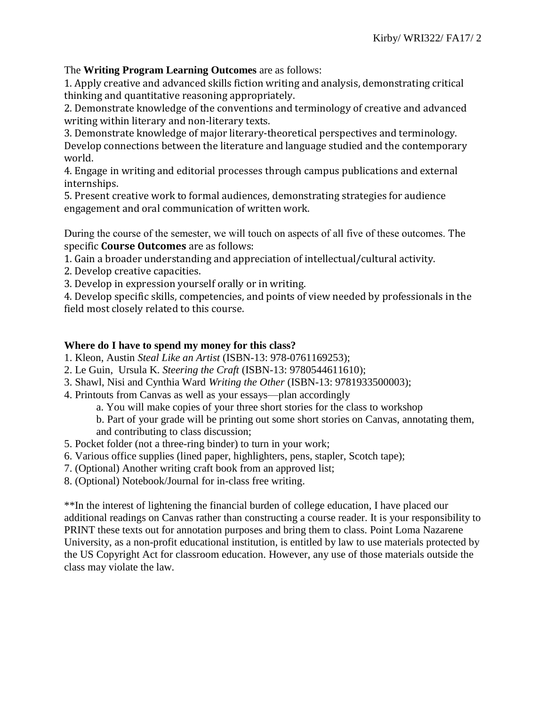# The **Writing Program Learning Outcomes** are as follows:

1. Apply creative and advanced skills fiction writing and analysis, demonstrating critical thinking and quantitative reasoning appropriately.

2. Demonstrate knowledge of the conventions and terminology of creative and advanced writing within literary and non-literary texts.

3. Demonstrate knowledge of major literary-theoretical perspectives and terminology. Develop connections between the literature and language studied and the contemporary world.

4. Engage in writing and editorial processes through campus publications and external internships.

5. Present creative work to formal audiences, demonstrating strategies for audience engagement and oral communication of written work.

During the course of the semester, we will touch on aspects of all five of these outcomes. The specific **Course Outcomes** are as follows:

1. Gain a broader understanding and appreciation of intellectual/cultural activity.

- 2. Develop creative capacities.
- 3. Develop in expression yourself orally or in writing.

4. Develop specific skills, competencies, and points of view needed by professionals in the field most closely related to this course.

# **Where do I have to spend my money for this class?**

- 1. Kleon, Austin *Steal Like an Artist* (ISBN-13: 978-0761169253);
- 2. Le Guin, Ursula K. *Steering the Craft* (ISBN-13: 9780544611610);
- 3. Shawl, Nisi and Cynthia Ward *Writing the Other* (ISBN-13: 9781933500003);
- 4. Printouts from Canvas as well as your essays—plan accordingly
	- a. You will make copies of your three short stories for the class to workshop

b. Part of your grade will be printing out some short stories on Canvas, annotating them, and contributing to class discussion;

- 5. Pocket folder (not a three-ring binder) to turn in your work;
- 6. Various office supplies (lined paper, highlighters, pens, stapler, Scotch tape);
- 7. (Optional) Another writing craft book from an approved list;
- 8. (Optional) Notebook/Journal for in-class free writing.

\*\*In the interest of lightening the financial burden of college education, I have placed our additional readings on Canvas rather than constructing a course reader. It is your responsibility to PRINT these texts out for annotation purposes and bring them to class. Point Loma Nazarene University, as a non-profit educational institution, is entitled by law to use materials protected by the US Copyright Act for classroom education. However, any use of those materials outside the class may violate the law.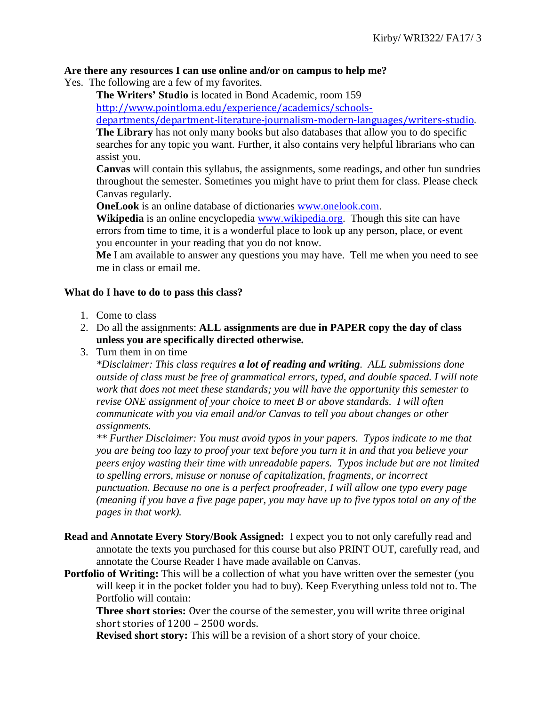#### **Are there any resources I can use online and/or on campus to help me?**

- Yes. The following are a few of my favorites.
	- **The Writers' Studio** is located in Bond Academic, room 159 [http://www.pointloma.edu/experience/academics/schools-](http://www.pointloma.edu/experience/academics/schools-departments/department-literature-journalism-modern-languages/writers-studio)

[departments/department-literature-journalism-modern-languages/writers-studio.](http://www.pointloma.edu/experience/academics/schools-departments/department-literature-journalism-modern-languages/writers-studio)

**The Library** has not only many books but also databases that allow you to do specific searches for any topic you want. Further, it also contains very helpful librarians who can assist you.

**Canvas** will contain this syllabus, the assignments, some readings, and other fun sundries throughout the semester. Sometimes you might have to print them for class. Please check Canvas regularly.

**OneLook** is an online database of dictionaries [www.onelook.com.](http://www.onelook.com/)

**Wikipedia** is an online encyclopedia [www.wikipedia.org.](http://www.wikipedia.org/) Though this site can have errors from time to time, it is a wonderful place to look up any person, place, or event you encounter in your reading that you do not know.

**Me** I am available to answer any questions you may have. Tell me when you need to see me in class or email me.

# **What do I have to do to pass this class?**

- 1. Come to class
- 2. Do all the assignments: **ALL assignments are due in PAPER copy the day of class unless you are specifically directed otherwise.**
- 3. Turn them in on time

*\*Disclaimer: This class requires a lot of reading and writing. ALL submissions done outside of class must be free of grammatical errors, typed, and double spaced. I will note work that does not meet these standards; you will have the opportunity this semester to revise ONE assignment of your choice to meet B or above standards. I will often communicate with you via email and/or Canvas to tell you about changes or other assignments.* 

*\*\* Further Disclaimer: You must avoid typos in your papers. Typos indicate to me that you are being too lazy to proof your text before you turn it in and that you believe your peers enjoy wasting their time with unreadable papers. Typos include but are not limited to spelling errors, misuse or nonuse of capitalization, fragments, or incorrect punctuation. Because no one is a perfect proofreader, I will allow one typo every page (meaning if you have a five page paper, you may have up to five typos total on any of the pages in that work).*

- **Read and Annotate Every Story/Book Assigned:** I expect you to not only carefully read and annotate the texts you purchased for this course but also PRINT OUT, carefully read, and annotate the Course Reader I have made available on Canvas.
- **Portfolio of Writing:** This will be a collection of what you have written over the semester (you will keep it in the pocket folder you had to buy). Keep Everything unless told not to. The Portfolio will contain:

**Three short stories:** Over the course of the semester, you will write three original short stories of 1200 – 2500 words.

**Revised short story:** This will be a revision of a short story of your choice.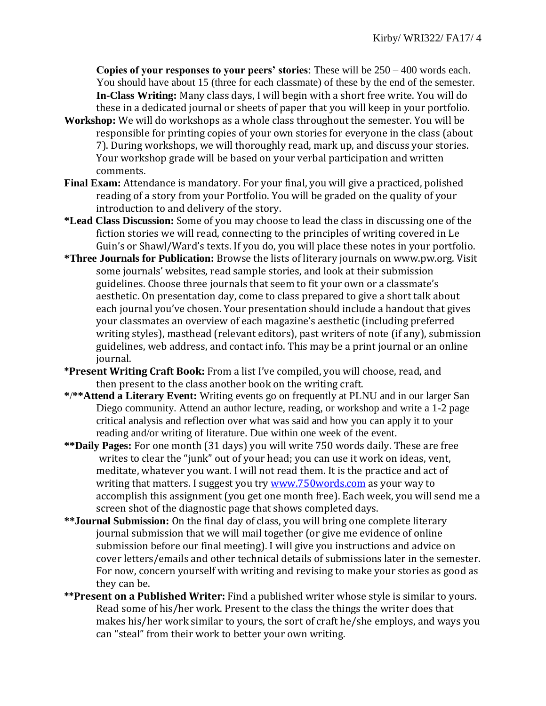**Copies of your responses to your peers' stories**: These will be 250 – 400 words each. You should have about 15 (three for each classmate) of these by the end of the semester. **In-Class Writing:** Many class days, I will begin with a short free write. You will do these in a dedicated journal or sheets of paper that you will keep in your portfolio.

- **Workshop:** We will do workshops as a whole class throughout the semester. You will be responsible for printing copies of your own stories for everyone in the class (about 7). During workshops, we will thoroughly read, mark up, and discuss your stories. Your workshop grade will be based on your verbal participation and written comments.
- **Final Exam:** Attendance is mandatory. For your final, you will give a practiced, polished reading of a story from your Portfolio. You will be graded on the quality of your introduction to and delivery of the story.
- **\*Lead Class Discussion:** Some of you may choose to lead the class in discussing one of the fiction stories we will read, connecting to the principles of writing covered in Le Guin's or Shawl/Ward's texts. If you do, you will place these notes in your portfolio.
- **\*Three Journals for Publication:** Browse the lists of literary journals on www.pw.org. Visit some journals' websites, read sample stories, and look at their submission guidelines. Choose three journals that seem to fit your own or a classmate's aesthetic. On presentation day, come to class prepared to give a short talk about each journal you've chosen. Your presentation should include a handout that gives your classmates an overview of each magazine's aesthetic (including preferred writing styles), masthead (relevant editors), past writers of note (if any), submission guidelines, web address, and contact info. This may be a print journal or an online journal.
- **\*Present Writing Craft Book:** From a list I've compiled, you will choose, read, and then present to the class another book on the writing craft.
- **\***/**\*\*Attend a Literary Event:** Writing events go on frequently at PLNU and in our larger San Diego community. Attend an author lecture, reading, or workshop and write a 1-2 page critical analysis and reflection over what was said and how you can apply it to your reading and/or writing of literature. Due within one week of the event.
- **\*\*Daily Pages:** For one month (31 days) you will write 750 words daily. These are free writes to clear the "junk" out of your head; you can use it work on ideas, vent, meditate, whatever you want. I will not read them. It is the practice and act of writing that matters. I suggest you try [www.750words.com](http://www.750words.com/) as your way to accomplish this assignment (you get one month free). Each week, you will send me a screen shot of the diagnostic page that shows completed days.
- **\*\*Journal Submission:** On the final day of class, you will bring one complete literary journal submission that we will mail together (or give me evidence of online submission before our final meeting). I will give you instructions and advice on cover letters/emails and other technical details of submissions later in the semester. For now, concern yourself with writing and revising to make your stories as good as they can be.
- **\*\*Present on a Published Writer:** Find a published writer whose style is similar to yours. Read some of his/her work. Present to the class the things the writer does that makes his/her work similar to yours, the sort of craft he/she employs, and ways you can "steal" from their work to better your own writing.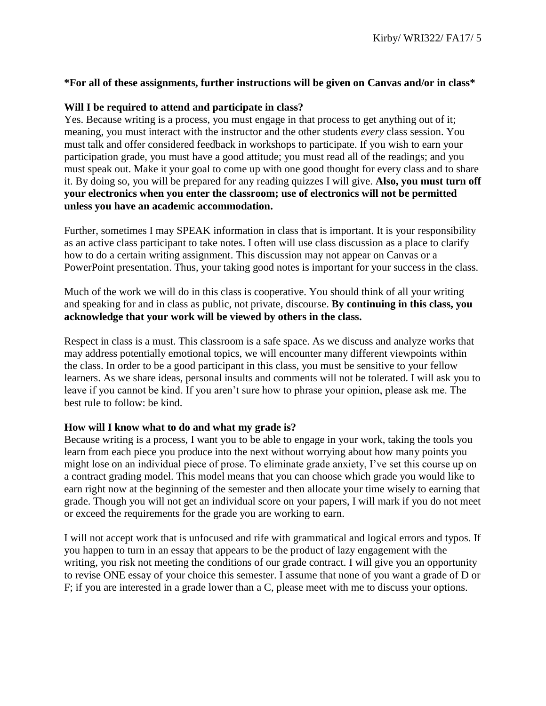# **\*For all of these assignments, further instructions will be given on Canvas and/or in class\***

# **Will I be required to attend and participate in class?**

Yes. Because writing is a process, you must engage in that process to get anything out of it; meaning, you must interact with the instructor and the other students *every* class session. You must talk and offer considered feedback in workshops to participate. If you wish to earn your participation grade, you must have a good attitude; you must read all of the readings; and you must speak out. Make it your goal to come up with one good thought for every class and to share it. By doing so, you will be prepared for any reading quizzes I will give. **Also, you must turn off your electronics when you enter the classroom; use of electronics will not be permitted unless you have an academic accommodation.**

Further, sometimes I may SPEAK information in class that is important. It is your responsibility as an active class participant to take notes. I often will use class discussion as a place to clarify how to do a certain writing assignment. This discussion may not appear on Canvas or a PowerPoint presentation. Thus, your taking good notes is important for your success in the class.

Much of the work we will do in this class is cooperative. You should think of all your writing and speaking for and in class as public, not private, discourse. **By continuing in this class, you acknowledge that your work will be viewed by others in the class.**

Respect in class is a must. This classroom is a safe space. As we discuss and analyze works that may address potentially emotional topics, we will encounter many different viewpoints within the class. In order to be a good participant in this class, you must be sensitive to your fellow learners. As we share ideas, personal insults and comments will not be tolerated. I will ask you to leave if you cannot be kind. If you aren't sure how to phrase your opinion, please ask me. The best rule to follow: be kind.

#### **How will I know what to do and what my grade is?**

Because writing is a process, I want you to be able to engage in your work, taking the tools you learn from each piece you produce into the next without worrying about how many points you might lose on an individual piece of prose. To eliminate grade anxiety, I've set this course up on a contract grading model. This model means that you can choose which grade you would like to earn right now at the beginning of the semester and then allocate your time wisely to earning that grade. Though you will not get an individual score on your papers, I will mark if you do not meet or exceed the requirements for the grade you are working to earn.

I will not accept work that is unfocused and rife with grammatical and logical errors and typos. If you happen to turn in an essay that appears to be the product of lazy engagement with the writing, you risk not meeting the conditions of our grade contract. I will give you an opportunity to revise ONE essay of your choice this semester. I assume that none of you want a grade of D or F; if you are interested in a grade lower than a C, please meet with me to discuss your options.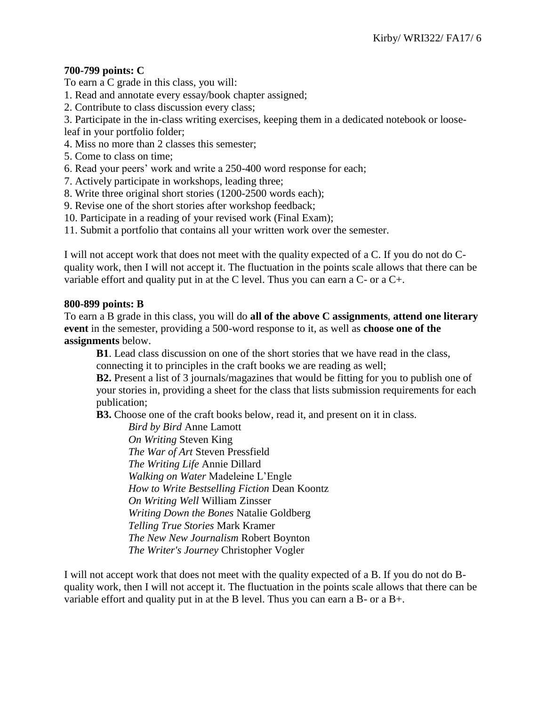# **700-799 points: C**

To earn a C grade in this class, you will:

- 1. Read and annotate every essay/book chapter assigned;
- 2. Contribute to class discussion every class;
- 3. Participate in the in-class writing exercises, keeping them in a dedicated notebook or loose-

leaf in your portfolio folder;

- 4. Miss no more than 2 classes this semester;
- 5. Come to class on time;
- 6. Read your peers' work and write a 250-400 word response for each;
- 7. Actively participate in workshops, leading three;
- 8. Write three original short stories (1200-2500 words each);
- 9. Revise one of the short stories after workshop feedback;
- 10. Participate in a reading of your revised work (Final Exam);
- 11. Submit a portfolio that contains all your written work over the semester.

I will not accept work that does not meet with the quality expected of a C. If you do not do Cquality work, then I will not accept it. The fluctuation in the points scale allows that there can be variable effort and quality put in at the C level. Thus you can earn a C- or a C+.

# **800-899 points: B**

To earn a B grade in this class, you will do **all of the above C assignments**, **attend one literary event** in the semester, providing a 500-word response to it, as well as **choose one of the assignments** below.

**B1**. Lead class discussion on one of the short stories that we have read in the class, connecting it to principles in the craft books we are reading as well;

**B2.** Present a list of 3 journals/magazines that would be fitting for you to publish one of your stories in, providing a sheet for the class that lists submission requirements for each publication;

**B3.** Choose one of the craft books below, read it, and present on it in class.

*Bird by Bird* Anne Lamott *On Writing* Steven King *The War of Art* Steven Pressfield *The Writing Life* Annie Dillard *Walking on Water* Madeleine L'Engle *How to Write Bestselling Fiction* Dean Koontz *On Writing Well* William Zinsser *Writing Down the Bones* Natalie Goldberg *Telling True Stories* Mark Kramer *The New New Journalism* Robert Boynton *The Writer's Journey* Christopher Vogler

I will not accept work that does not meet with the quality expected of a B. If you do not do Bquality work, then I will not accept it. The fluctuation in the points scale allows that there can be variable effort and quality put in at the B level. Thus you can earn a B- or a B+.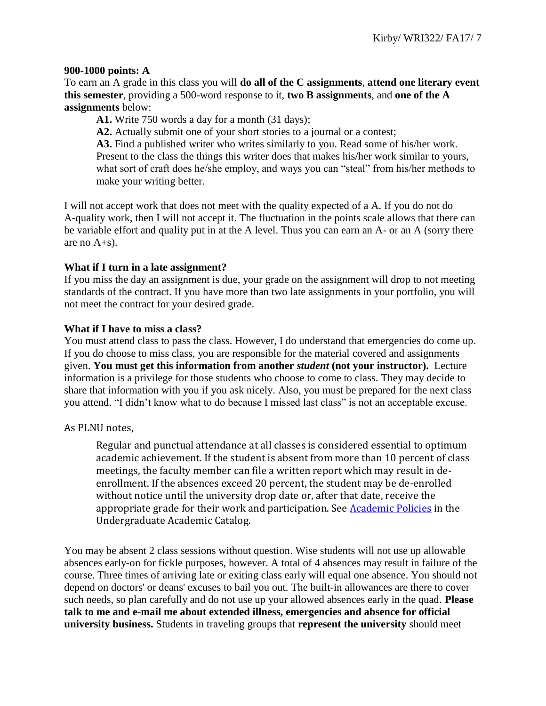#### **900-1000 points: A**

To earn an A grade in this class you will **do all of the C assignments**, **attend one literary event this semester**, providing a 500-word response to it, **two B assignments**, and **one of the A assignments** below:

**A1.** Write 750 words a day for a month (31 days);

**A2.** Actually submit one of your short stories to a journal or a contest;

**A3.** Find a published writer who writes similarly to you. Read some of his/her work. Present to the class the things this writer does that makes his/her work similar to yours, what sort of craft does he/she employ, and ways you can "steal" from his/her methods to make your writing better.

I will not accept work that does not meet with the quality expected of a A. If you do not do A-quality work, then I will not accept it. The fluctuation in the points scale allows that there can be variable effort and quality put in at the A level. Thus you can earn an A- or an A (sorry there are no  $A + s$ ).

#### **What if I turn in a late assignment?**

If you miss the day an assignment is due, your grade on the assignment will drop to not meeting standards of the contract. If you have more than two late assignments in your portfolio, you will not meet the contract for your desired grade.

# **What if I have to miss a class?**

You must attend class to pass the class. However, I do understand that emergencies do come up. If you do choose to miss class, you are responsible for the material covered and assignments given. **You must get this information from another** *student* **(not your instructor).** Lecture information is a privilege for those students who choose to come to class. They may decide to share that information with you if you ask nicely. Also, you must be prepared for the next class you attend. "I didn't know what to do because I missed last class" is not an acceptable excuse.

# As PLNU notes,

Regular and punctual attendance at all classes is considered essential to optimum academic achievement. If the student is absent from more than 10 percent of class meetings, the faculty member can file a written report which may result in deenrollment. If the absences exceed 20 percent, the student may be de-enrolled without notice until the university drop date or, after that date, receive the appropriate grade for their work and participation. See **Academic Policies** in the Undergraduate Academic Catalog.

You may be absent 2 class sessions without question. Wise students will not use up allowable absences early-on for fickle purposes, however. A total of 4 absences may result in failure of the course. Three times of arriving late or exiting class early will equal one absence. You should not depend on doctors' or deans' excuses to bail you out. The built-in allowances are there to cover such needs, so plan carefully and do not use up your allowed absences early in the quad. **Please talk to me and e-mail me about extended illness, emergencies and absence for official university business.** Students in traveling groups that **represent the university** should meet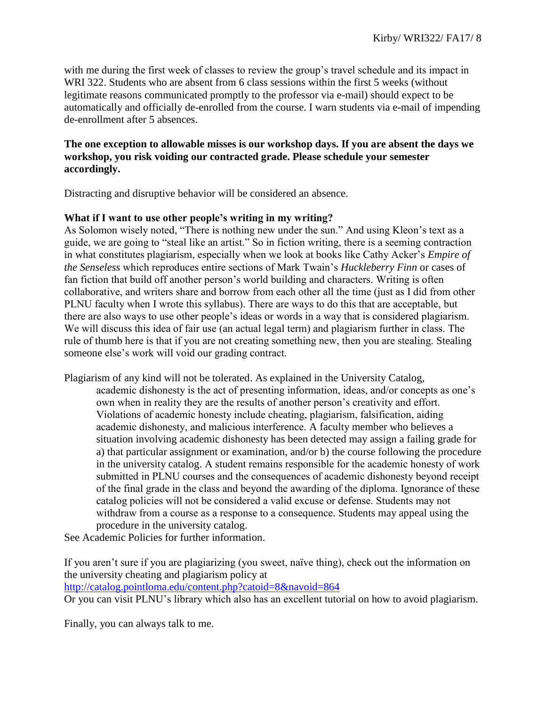with me during the first week of classes to review the group's travel schedule and its impact in WRI 322. Students who are absent from 6 class sessions within the first 5 weeks (without legitimate reasons communicated promptly to the professor via e-mail) should expect to be automatically and officially de-enrolled from the course. I warn students via e-mail of impending de-enrollment after 5 absences.

# **The one exception to allowable misses is our workshop days. If you are absent the days we workshop, you risk voiding our contracted grade. Please schedule your semester accordingly.**

Distracting and disruptive behavior will be considered an absence.

# **What if I want to use other people's writing in my writing?**

As Solomon wisely noted, "There is nothing new under the sun." And using Kleon's text as a guide, we are going to "steal like an artist." So in fiction writing, there is a seeming contraction in what constitutes plagiarism, especially when we look at books like Cathy Acker's *Empire of the Senseless* which reproduces entire sections of Mark Twain's *Huckleberry Finn* or cases of fan fiction that build off another person's world building and characters. Writing is often collaborative, and writers share and borrow from each other all the time (just as I did from other PLNU faculty when I wrote this syllabus). There are ways to do this that are acceptable, but there are also ways to use other people's ideas or words in a way that is considered plagiarism. We will discuss this idea of fair use (an actual legal term) and plagiarism further in class. The rule of thumb here is that if you are not creating something new, then you are stealing. Stealing someone else's work will void our grading contract.

Plagiarism of any kind will not be tolerated. As explained in the University Catalog, academic dishonesty is the act of presenting information, ideas, and/or concepts as one's own when in reality they are the results of another person's creativity and effort. Violations of academic honesty include cheating, plagiarism, falsification, aiding academic dishonesty, and malicious interference. A faculty member who believes a situation involving academic dishonesty has been detected may assign a failing grade for a) that particular assignment or examination, and/or b) the course following the procedure in the university catalog. A student remains responsible for the academic honesty of work submitted in PLNU courses and the consequences of academic dishonesty beyond receipt of the final grade in the class and beyond the awarding of the diploma. Ignorance of these catalog policies will not be considered a valid excuse or defense. Students may not withdraw from a course as a response to a consequence. Students may appeal using the procedure in the university catalog.

See Academic Policies for further information.

If you aren't sure if you are plagiarizing (you sweet, naïve thing), check out the information on the university cheating and plagiarism policy at <http://catalog.pointloma.edu/content.php?catoid=8&navoid=864>

Or you can visit PLNU's library which also has an excellent tutorial on how to avoid plagiarism.

Finally, you can always talk to me.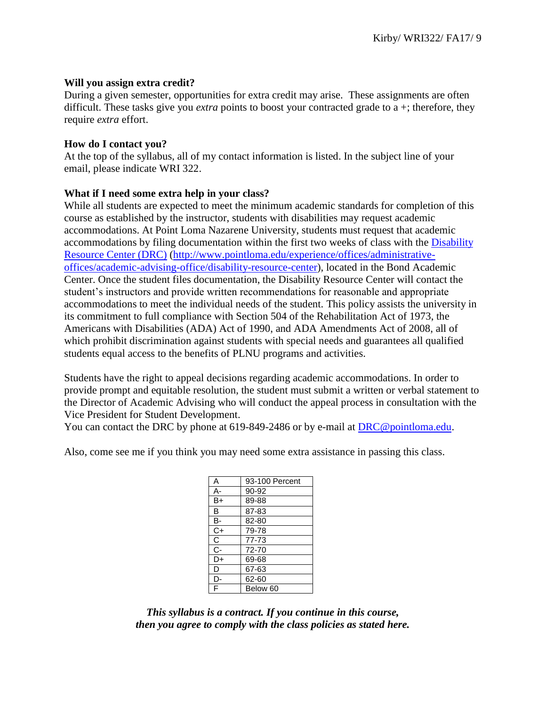#### **Will you assign extra credit?**

During a given semester, opportunities for extra credit may arise. These assignments are often difficult. These tasks give you *extra* points to boost your contracted grade to a +; therefore, they require *extra* effort.

#### **How do I contact you?**

At the top of the syllabus, all of my contact information is listed. In the subject line of your email, please indicate WRI 322.

# **What if I need some extra help in your class?**

While all students are expected to meet the minimum academic standards for completion of this course as established by the instructor, students with disabilities may request academic accommodations. At Point Loma Nazarene University, students must request that academic accommodations by filing documentation within the first two weeks of class with the [Disability](http://www.pointloma.edu/experience/offices/administrative-offices/academic-advising-office/disability-resource-center)  [Resource Center \(DRC\)](http://www.pointloma.edu/experience/offices/administrative-offices/academic-advising-office/disability-resource-center) [\(http://www.pointloma.edu/experience/offices/administrative](http://www.pointloma.edu/experience/offices/administrative-offices/academic-advising-office/disability-resource-center)[offices/academic-advising-office/disability-resource-center\)](http://www.pointloma.edu/experience/offices/administrative-offices/academic-advising-office/disability-resource-center), located in the Bond Academic Center. Once the student files documentation, the Disability Resource Center will contact the student's instructors and provide written recommendations for reasonable and appropriate accommodations to meet the individual needs of the student. This policy assists the university in its commitment to full compliance with Section 504 of the Rehabilitation Act of 1973, the Americans with Disabilities (ADA) Act of 1990, and ADA Amendments Act of 2008, all of which prohibit discrimination against students with special needs and guarantees all qualified students equal access to the benefits of PLNU programs and activities.

Students have the right to appeal decisions regarding academic accommodations. In order to provide prompt and equitable resolution, the student must submit a written or verbal statement to the Director of Academic Advising who will conduct the appeal process in consultation with the Vice President for Student Development.

You can contact the DRC by phone at 619-849-2486 or by e-mail at [DRC@pointloma.edu.](mailto:DRC@pointloma.edu)

Also, come see me if you think you may need some extra assistance in passing this class.

| Α  | 93-100 Percent |
|----|----------------|
| А- | 90-92          |
| B+ | 89-88          |
| B  | 87-83          |
| в- | 82-80          |
| C+ | 79-78          |
| С  | 77-73          |
| C- | 72-70          |
| D+ | 69-68          |
| D  | 67-63          |
| D- | 62-60          |
| F  | Below 60       |
|    |                |

*This syllabus is a contract. If you continue in this course, then you agree to comply with the class policies as stated here.*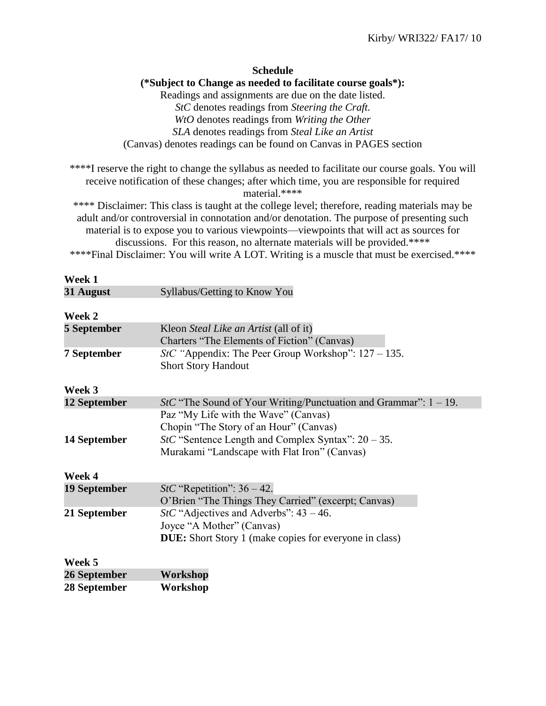**Schedule (\*Subject to Change as needed to facilitate course goals\*):** Readings and assignments are due on the date listed. *StC* denotes readings from *Steering the Craft. WtO* denotes readings from *Writing the Other SLA* denotes readings from *Steal Like an Artist* (Canvas) denotes readings can be found on Canvas in PAGES section

\*\*\*\*I reserve the right to change the syllabus as needed to facilitate our course goals. You will receive notification of these changes; after which time, you are responsible for required material.\*\*\*\*

\*\*\*\* Disclaimer: This class is taught at the college level; therefore, reading materials may be adult and/or controversial in connotation and/or denotation. The purpose of presenting such material is to expose you to various viewpoints—viewpoints that will act as sources for discussions. For this reason, no alternate materials will be provided.\*\*\*\*

\*\*\*\*Final Disclaimer: You will write A LOT. Writing is a muscle that must be exercised.\*\*\*\*

| Week 1              |                                                                            |
|---------------------|----------------------------------------------------------------------------|
| 31 August           | Syllabus/Getting to Know You                                               |
|                     |                                                                            |
| Week 2              |                                                                            |
| <b>5 September</b>  | Kleon Steal Like an Artist (all of it)                                     |
|                     | Charters "The Elements of Fiction" (Canvas)                                |
| <b>7 September</b>  | StC "Appendix: The Peer Group Workshop": $127 - 135$ .                     |
|                     | <b>Short Story Handout</b>                                                 |
|                     |                                                                            |
| Week 3              |                                                                            |
| 12 September        | <i>StC</i> "The Sound of Your Writing/Punctuation and Grammar": $1 - 19$ . |
|                     | Paz "My Life with the Wave" (Canvas)                                       |
|                     | Chopin "The Story of an Hour" (Canvas)                                     |
| 14 September        | $StC$ "Sentence Length and Complex Syntax": $20 - 35$ .                    |
|                     | Murakami "Landscape with Flat Iron" (Canvas)                               |
|                     |                                                                            |
| Week 4              |                                                                            |
| <b>19 September</b> | StC "Repetition": $36 - 42$ .                                              |
|                     | O'Brien "The Things They Carried" (excerpt; Canvas)                        |
| 21 September        | StC "Adjectives and Adverbs": $43 - 46$ .                                  |
|                     | Joyce "A Mother" (Canvas)                                                  |
|                     | <b>DUE:</b> Short Story 1 (make copies for everyone in class)              |
|                     |                                                                            |
| Week 5              |                                                                            |
| 26 September        | Workshop                                                                   |
| 28 September        | Workshop                                                                   |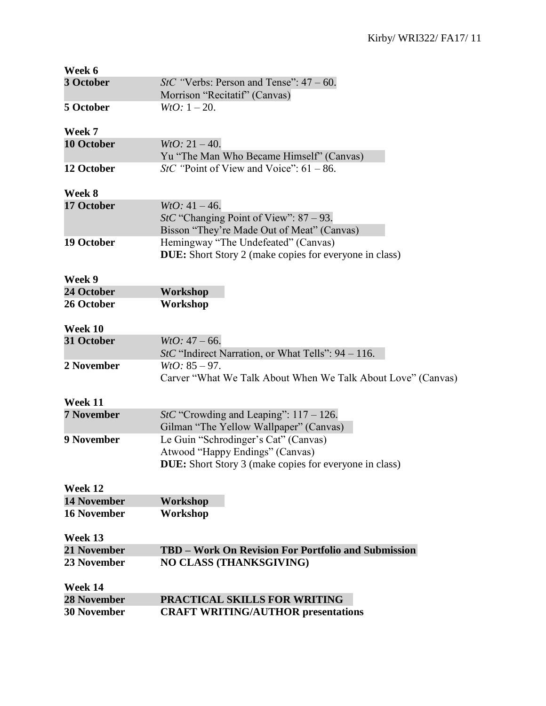| Week 6             |                                                                                                                   |
|--------------------|-------------------------------------------------------------------------------------------------------------------|
| 3 October          | <i>StC</i> "Verbs: Person and Tense": $47 - 60$ .<br>Morrison "Recitatif" (Canvas)                                |
| 5 October          | $WtO: 1-20.$                                                                                                      |
| Week 7             |                                                                                                                   |
| <b>10 October</b>  | $WtO: 21 - 40.$<br>Yu "The Man Who Became Himself" (Canvas)                                                       |
| 12 October         | StC "Point of View and Voice": $61 - 86$ .                                                                        |
| Week 8             |                                                                                                                   |
| 17 October         | $WtO: 41 - 46.$<br><i>StC</i> "Changing Point of View": $87 - 93$ .<br>Bisson "They're Made Out of Meat" (Canvas) |
| 19 October         | Hemingway "The Undefeated" (Canvas)<br><b>DUE:</b> Short Story 2 (make copies for everyone in class)              |
| Week 9             |                                                                                                                   |
| 24 October         | Workshop                                                                                                          |
| 26 October         | Workshop                                                                                                          |
| Week 10            |                                                                                                                   |
| 31 October         | $WtO: 47 - 66.$<br><i>StC</i> "Indirect Narration, or What Tells": $94 - 116$ .                                   |
| 2 November         | $WtO: 85 - 97.$<br>Carver "What We Talk About When We Talk About Love" (Canvas)                                   |
| Week 11            |                                                                                                                   |
| <b>7 November</b>  | StC "Crowding and Leaping": $117 - 126$ .<br>Gilman "The Yellow Wallpaper" (Canvas)                               |
| 9 November         | Le Guin "Schrodinger's Cat" (Canvas)                                                                              |
|                    | Atwood "Happy Endings" (Canvas)                                                                                   |
|                    | <b>DUE:</b> Short Story 3 (make copies for everyone in class)                                                     |
| Week 12            |                                                                                                                   |
| <b>14 November</b> | Workshop                                                                                                          |
| <b>16 November</b> | Workshop                                                                                                          |
| Week 13            |                                                                                                                   |
| 21 November        | TBD - Work On Revision For Portfolio and Submission                                                               |
| 23 November        | <b>NO CLASS (THANKSGIVING)</b>                                                                                    |
| Week 14            |                                                                                                                   |
| <b>28 November</b> | <b>PRACTICAL SKILLS FOR WRITING</b>                                                                               |
| <b>30 November</b> | <b>CRAFT WRITING/AUTHOR presentations</b>                                                                         |